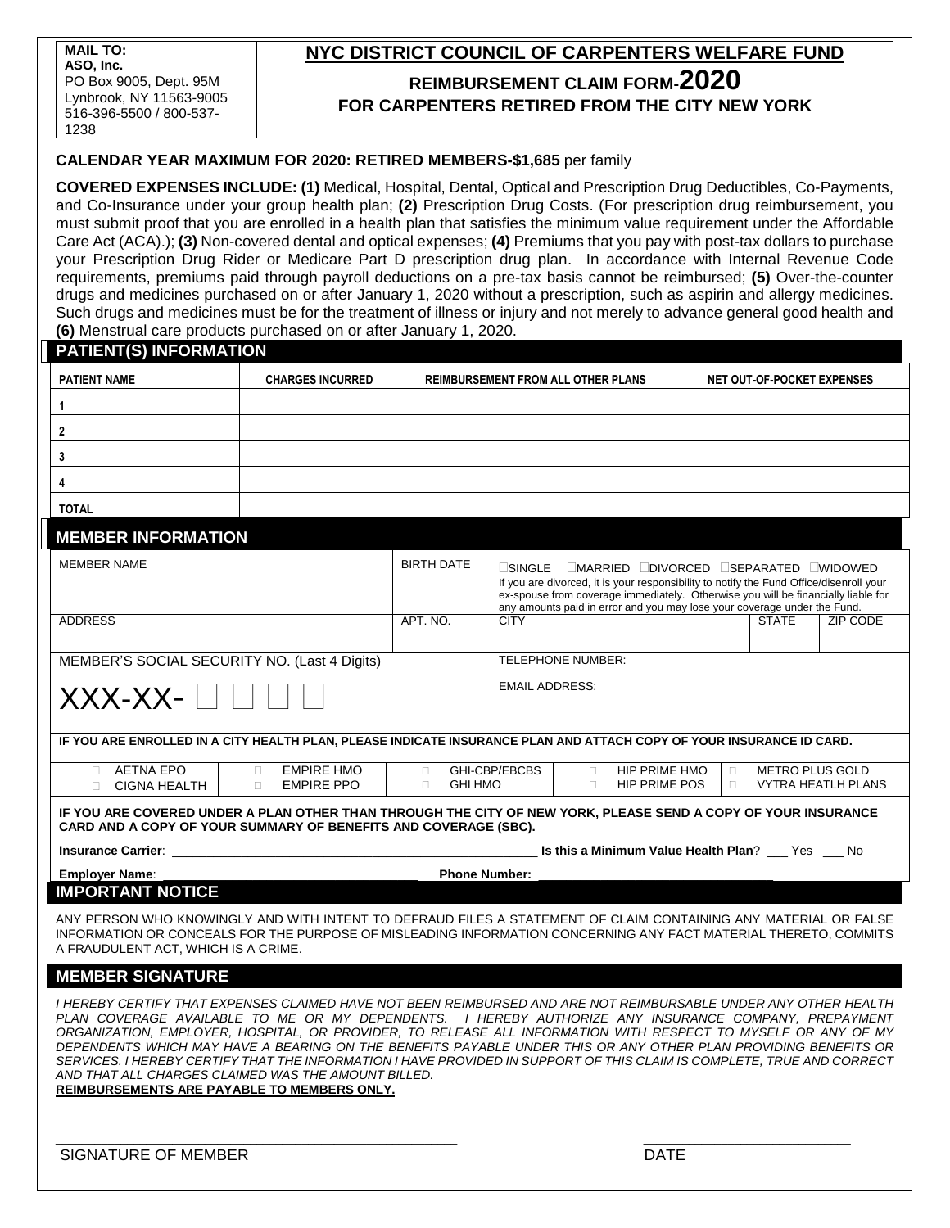# **NYC DISTRICT COUNCIL OF CARPENTERS WELFARE FUND REIMBURSEMENT CLAIM FORM-2020 FOR CARPENTERS RETIRED FROM THE CITY NEW YORK**

## **CALENDAR YEAR MAXIMUM FOR 2020: RETIRED MEMBERS-\$1,685** per family

**COVERED EXPENSES INCLUDE: (1)** Medical, Hospital, Dental, Optical and Prescription Drug Deductibles, Co-Payments, and Co-Insurance under your group health plan; **(2)** Prescription Drug Costs. (For prescription drug reimbursement, you must submit proof that you are enrolled in a health plan that satisfies the minimum value requirement under the Affordable Care Act (ACA).); **(3)** Non-covered dental and optical expenses; **(4)** Premiums that you pay with post-tax dollars to purchase your Prescription Drug Rider or Medicare Part D prescription drug plan. In accordance with Internal Revenue Code requirements, premiums paid through payroll deductions on a pre-tax basis cannot be reimbursed; **(5)** Over-the-counter drugs and medicines purchased on or after January 1, 2020 without a prescription, such as aspirin and allergy medicines. Such drugs and medicines must be for the treatment of illness or injury and not merely to advance general good health and **(6)** Menstrual care products purchased on or after January 1, 2020.

| <b>PATIENT(S) INFORMATION</b>                                                                                                                                                                                                                                                                                                                                                                                                                                                                                                                                                                                                                                                                     |  |                                                     |                                                                                                                                                                                                                                                                                                                   |                                                           |                                   |                        |                           |
|---------------------------------------------------------------------------------------------------------------------------------------------------------------------------------------------------------------------------------------------------------------------------------------------------------------------------------------------------------------------------------------------------------------------------------------------------------------------------------------------------------------------------------------------------------------------------------------------------------------------------------------------------------------------------------------------------|--|-----------------------------------------------------|-------------------------------------------------------------------------------------------------------------------------------------------------------------------------------------------------------------------------------------------------------------------------------------------------------------------|-----------------------------------------------------------|-----------------------------------|------------------------|---------------------------|
| <b>PATIENT NAME</b><br><b>CHARGES INCURRED</b>                                                                                                                                                                                                                                                                                                                                                                                                                                                                                                                                                                                                                                                    |  | <b>REIMBURSEMENT FROM ALL OTHER PLANS</b>           |                                                                                                                                                                                                                                                                                                                   |                                                           | <b>NET OUT-OF-POCKET EXPENSES</b> |                        |                           |
| 1                                                                                                                                                                                                                                                                                                                                                                                                                                                                                                                                                                                                                                                                                                 |  |                                                     |                                                                                                                                                                                                                                                                                                                   |                                                           |                                   |                        |                           |
| 2                                                                                                                                                                                                                                                                                                                                                                                                                                                                                                                                                                                                                                                                                                 |  |                                                     |                                                                                                                                                                                                                                                                                                                   |                                                           |                                   |                        |                           |
| 3                                                                                                                                                                                                                                                                                                                                                                                                                                                                                                                                                                                                                                                                                                 |  |                                                     |                                                                                                                                                                                                                                                                                                                   |                                                           |                                   |                        |                           |
| 4                                                                                                                                                                                                                                                                                                                                                                                                                                                                                                                                                                                                                                                                                                 |  |                                                     |                                                                                                                                                                                                                                                                                                                   |                                                           |                                   |                        |                           |
| <b>TOTAL</b>                                                                                                                                                                                                                                                                                                                                                                                                                                                                                                                                                                                                                                                                                      |  |                                                     |                                                                                                                                                                                                                                                                                                                   |                                                           |                                   |                        |                           |
| <b>MEMBER INFORMATION</b>                                                                                                                                                                                                                                                                                                                                                                                                                                                                                                                                                                                                                                                                         |  |                                                     |                                                                                                                                                                                                                                                                                                                   |                                                           |                                   |                        |                           |
| <b>MEMBER NAME</b>                                                                                                                                                                                                                                                                                                                                                                                                                                                                                                                                                                                                                                                                                |  | <b>BIRTH DATE</b>                                   | MARRIED NORCED SEPARATED NUDOWED<br>$\sqcup$ SINGLE .<br>If you are divorced, it is your responsibility to notify the Fund Office/disenroll your<br>ex-spouse from coverage immediately. Otherwise you will be financially liable for<br>any amounts paid in error and you may lose your coverage under the Fund. |                                                           |                                   |                        |                           |
| <b>ADDRESS</b>                                                                                                                                                                                                                                                                                                                                                                                                                                                                                                                                                                                                                                                                                    |  | APT. NO.                                            | <b>CITY</b>                                                                                                                                                                                                                                                                                                       |                                                           |                                   | <b>STATE</b>           | ZIP CODE                  |
| MEMBER'S SOCIAL SECURITY NO. (Last 4 Digits)<br>$XXX-XX-$                                                                                                                                                                                                                                                                                                                                                                                                                                                                                                                                                                                                                                         |  | <b>TELEPHONE NUMBER:</b><br><b>EMAIL ADDRESS:</b>   |                                                                                                                                                                                                                                                                                                                   |                                                           |                                   |                        |                           |
| IF YOU ARE ENROLLED IN A CITY HEALTH PLAN, PLEASE INDICATE INSURANCE PLAN AND ATTACH COPY OF YOUR INSURANCE ID CARD.                                                                                                                                                                                                                                                                                                                                                                                                                                                                                                                                                                              |  |                                                     |                                                                                                                                                                                                                                                                                                                   |                                                           |                                   |                        |                           |
| <b>AETNA EPO</b><br><b>EMPIRE HMO</b><br>$\Box$<br>П.<br><b>EMPIRE PPO</b><br><b>CIGNA HEALTH</b><br>$\Box$<br>$\Box$                                                                                                                                                                                                                                                                                                                                                                                                                                                                                                                                                                             |  | GHI-CBP/EBCBS<br>$\Box$<br>$\Box$<br><b>GHI HMO</b> |                                                                                                                                                                                                                                                                                                                   | <b>HIP PRIME HMO</b><br>$\Box$<br>HIP PRIME POS<br>$\Box$ | $\Box$<br>$\Box$                  | <b>METRO PLUS GOLD</b> | <b>VYTRA HEATLH PLANS</b> |
| IF YOU ARE COVERED UNDER A PLAN OTHER THAN THROUGH THE CITY OF NEW YORK, PLEASE SEND A COPY OF YOUR INSURANCE<br>CARD AND A COPY OF YOUR SUMMARY OF BENEFITS AND COVERAGE (SBC).                                                                                                                                                                                                                                                                                                                                                                                                                                                                                                                  |  |                                                     |                                                                                                                                                                                                                                                                                                                   |                                                           |                                   |                        |                           |
| Is this a Minimum Value Health Plan? __ Yes __ No<br><b>Insurance Carrier:</b> the control of the control of the control of the control of the control of the control of the control of the control of the control of the control of the control of the control of the control of the co                                                                                                                                                                                                                                                                                                                                                                                                          |  |                                                     |                                                                                                                                                                                                                                                                                                                   |                                                           |                                   |                        |                           |
| <b>Employer Name:</b><br><b>Phone Number:</b>                                                                                                                                                                                                                                                                                                                                                                                                                                                                                                                                                                                                                                                     |  |                                                     |                                                                                                                                                                                                                                                                                                                   |                                                           |                                   |                        |                           |
| <b>IMPORTANT NOTICE</b>                                                                                                                                                                                                                                                                                                                                                                                                                                                                                                                                                                                                                                                                           |  |                                                     |                                                                                                                                                                                                                                                                                                                   |                                                           |                                   |                        |                           |
| ANY PERSON WHO KNOWINGLY AND WITH INTENT TO DEFRAUD FILES A STATEMENT OF CLAIM CONTAINING ANY MATERIAL OR FALSE<br>INFORMATION OR CONCEALS FOR THE PURPOSE OF MISLEADING INFORMATION CONCERNING ANY FACT MATERIAL THERETO, COMMITS<br>A FRAUDULENT ACT, WHICH IS A CRIME.                                                                                                                                                                                                                                                                                                                                                                                                                         |  |                                                     |                                                                                                                                                                                                                                                                                                                   |                                                           |                                   |                        |                           |
| <b>MEMBER SIGNATURE</b>                                                                                                                                                                                                                                                                                                                                                                                                                                                                                                                                                                                                                                                                           |  |                                                     |                                                                                                                                                                                                                                                                                                                   |                                                           |                                   |                        |                           |
| I HEREBY CERTIFY THAT EXPENSES CLAIMED HAVE NOT BEEN REIMBURSED AND ARE NOT REIMBURSABLE UNDER ANY OTHER HEALTH<br>PLAN COVERAGE AVAILABLE TO ME OR MY DEPENDENTS. I HEREBY AUTHORIZE ANY INSURANCE COMPANY. PREPAYMENT<br>ORGANIZATION, EMPLOYER, HOSPITAL, OR PROVIDER, TO RELEASE ALL INFORMATION WITH RESPECT TO MYSELF OR ANY OF MY<br>DEPENDENTS WHICH MAY HAVE A BEARING ON THE BENEFITS PAYABLE UNDER THIS OR ANY OTHER PLAN PROVIDING BENEFITS OR<br>SERVICES. I HEREBY CERTIFY THAT THE INFORMATION I HAVE PROVIDED IN SUPPORT OF THIS CLAIM IS COMPLETE, TRUE AND CORRECT<br>AND THAT ALL CHARGES CLAIMED WAS THE AMOUNT BILLED.<br><b>REIMBURSEMENTS ARE PAYABLE TO MEMBERS ONLY.</b> |  |                                                     |                                                                                                                                                                                                                                                                                                                   |                                                           |                                   |                        |                           |
| <b>SIGNATURE OF MEMBER</b>                                                                                                                                                                                                                                                                                                                                                                                                                                                                                                                                                                                                                                                                        |  |                                                     | <b>DATE</b>                                                                                                                                                                                                                                                                                                       |                                                           |                                   |                        |                           |